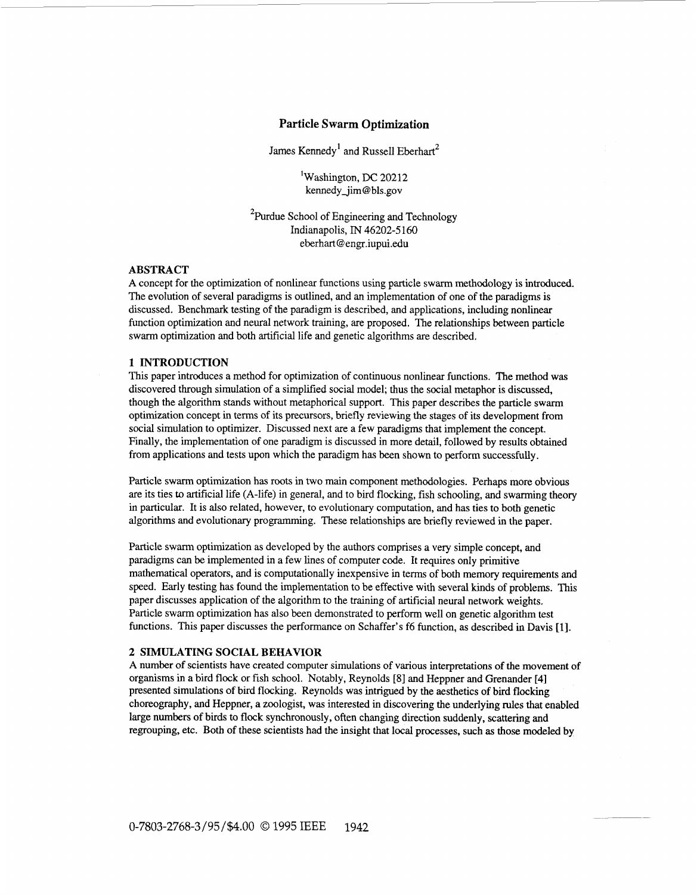# **Particle Swarm Optimization**

James Kennedy<sup>1</sup> and Russell Eberhart<sup>2</sup>

<sup>1</sup>Washington, DC 20212 kennedy\_jim@bls.gov

<sup>2</sup>Purdue School of Engineering and Technology Indianapolis, IN 46202-5160 eberhart @ engr.iupui **.edu** 

# **ABSTRACT**

A concept for the optimization of nonlinear functions using particle swarm methodology is introduced. The evolution of several paradigms is outlined, and an implementation of one of the paradigms is discussed. Benchmark testing of the paradigm is described, and applications, including nonlinear function optimization and neural network training, are proposed. The relationships between particle swarm optimization and both artificial life and genetic algorithms are described,

# **1 INTRODUCTION**

This paper introduces a method for optimization of continuous nonlinear functions. The method was discovered through simulation of a simplified social model; thus the social metaphor is discussed, though the algorithm stands without metaphorical support. This paper describes the particle swarm optimization concept in terms of its precursors, briefly reviewing the stages of its development from social simulation to optimizer. Discussed next are a few paradigms that implement the concept. Finally, the implementation of one paradigm is discussed in more detail, followed by results obtained from applications and tests upon which the paradigm has been shown to perform successfully.

Particle swarm optimization has roots in two main component methodologies. Perhaps more obvious are its ties to artificial life (A-life) in general, and to bird flocking, fish schooling, and swarming theory in particular. It is also related, however, to evolutionary computation, and has ties to both genetic algorithms and evolutionary programming. These relationships **are** briefly reviewed in the paper.

Particle swarm optimization **as** developed by the authors comprises a very simple concept, and paradigms can be implemented in a few lines of computer code. It requires only primitive mathematical operators, and is computationally inexpensive in terms of both memory requirements and speed. Early testing has found the implementation to be effective with several kinds of problems. This paper discusses application of the algorithm to the training of artificial neural network weights, Particle swarm optimization has also been demonstrated to perform well on genetic algorithm test functions. This paper discusses the performance on Schaffer's f6 function, **as** described in Davis [l].

# **2 SIMULATING SOCIAL BEHAVIOR**

A number **of** scientists have created computer simulations of various interpretations **of** the movement of organisms in a bird flock or fish school. Notably, Reynolds **[8]** and Heppner and Grenander **[4]**  presented simulations **of** bird flocking. Reynolds was intrigued by the aesthetics of bird flocking choreography, and Heppner, a zoologist, was interested in discovering the underlying rules that enabled large numbers of birds to **flock** synchronously, often changing direction suddenly, scattering and regrouping, etc. Both of these scientists had the insight that local processes, such **as** those modeled by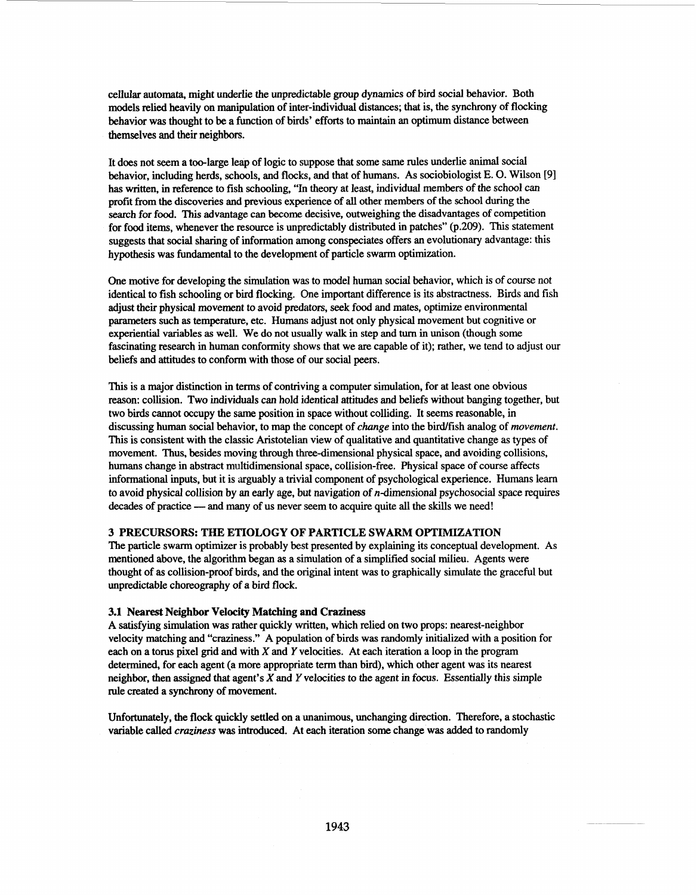cellular automata, might underlie the unpredictable group dynamics of bird social behavior. Both models relied heavily on manipulation of inter-individual distances; that is, the synchrony of flocking behavior was thought to be a function of birds' efforts to maintain an optimum distance between themselves and their neighbors.

It does not seem a too-large leap of logic to suppose that some same rules underlie animal social behavior, including herds, schools, and **flocks,** and that of humans. As sociobiologist E. 0. Wilson [9] has written, in reference to fish schooling, "In theory at least, individual members of the school can profit from the discoveries and previous experience of **all** other members of the school during the search for food. This advantage can become decisive, outweighing the disadvantages of competition for food items, whenever the resource is unpedictably distributed in patches" *(p.209).* This statement suggests that social sharing of information among conspeciates offers an evolutionary advantage: this hypothesis was fundamental to the development of particle swarm optimization.

One motive for developing the simdation was to model human social behavior, which is of course not identical to fish schooling or bird flocking. **Che** important difference is its abstractness. Birds and fish adjust their physical movement to avoid prechtors, **seek** food and mates, optimize environmental parameters such **as** temperature, etc. Humans; adjust not only physical movement but cognitive or experiential variables **as** well. We do not usually walk in step and **tum** in unison (though some fascinating research in human conformity shows that we **are** capable of it); rather, we tend to adjust our beliefs and attitudes to conform with those of our social peers.

This is a major distinction in terms of contriving a computer simulation, for at least one obvious reason: collision. Two individuals can hold identical attitudes and beliefs without banging together, but two birds cannot occupy the same position in space without colliding. It seems reasonable, in discussing human social behavior, to map the concept of *change* into the bird/fish analog of *movement*. This is consistent with the classic Aristotelim view of qualitative and quantitative change **as** types of movement. Thus, besides moving through three-dimensional physical space, and avoiding collisions, humans change in abstract multidimensional space, colision-free. Physical space of course affects informational inputs, but it is arguably a trivial component of psychological experience. Humans learn to avoid physical collision by an early age, hit navigation of n-dimensional psychosocial space requires informational inputs, but it is arguably a trivial component of psychological experience.<br>to avoid physical collision by an early age, but navigation of *n*-dimensional psychosocial<br>decades of practice — and many of us nev

### **3 PRECURSORS: THE ETIOLOGY OF PARTICLE SWARM OPTIMIZATION**

The particle swarm optimizer is probably best presented by explaining its conceptual development. As mentioned above, the algorithm began **as** a simulation of a simplified social milieu. Agents were thought of **as** collision-proof birds, and the original intent was to graphically simulate the graceful but unpredictable choreography of a bird **flock.** 

## **3.1 Nearest Neighbor Velocity Matching and Craziness**

**A** satisfying simulation was rather quickly written, which relied on two props: nearest-neighbor velocity matching and "craziness." A population of birds was randomly initialized with a position for each on a torus pixel grid and with *X* and Y velocities. At each iteration a loop in the program determined, for each agent (a more appropriate term than bird), which other agent was its nearest neighbor, then assigned that agent's *X* and *Y* velocities to the agent in focus. Essentially this simple rule created a synchrony of movement.

Unfortunately, the flock quickly settled on a unanimous, unchanging direction. Therefore, a stochastic variable called *craziness* **was** introduced. At each iteration some change was added to randomly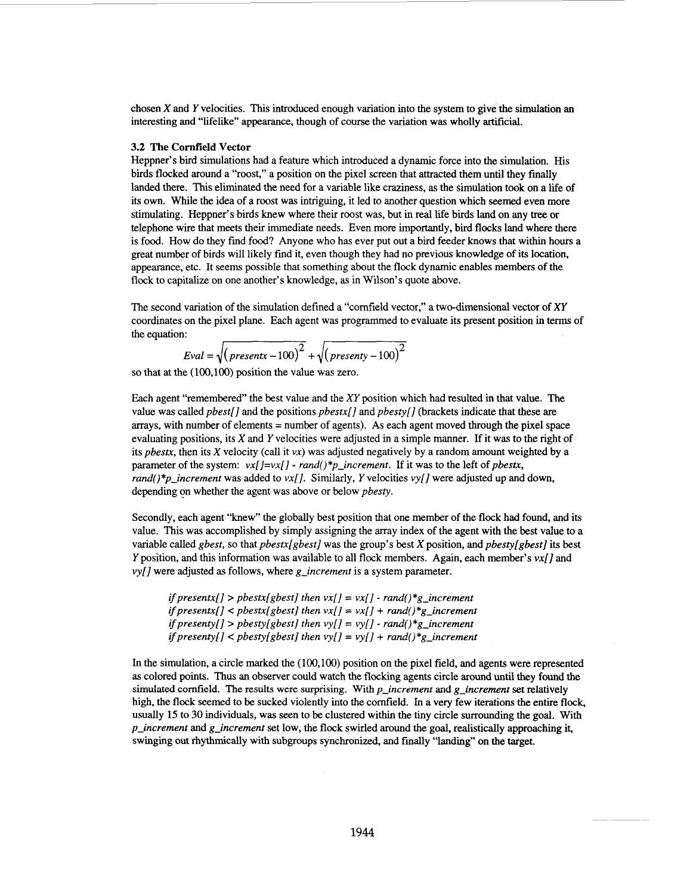chosen *X* and *Y* velocities. This introduced enough variation into the system to give the simulation an interesting and "lifelike" appearance, though of course the variation was wholly artiticial.

#### **3.2 The Cornfield Vector**

Heppner's bird simulations had a feature which introduced a dynamic force into the simulation. **His**  birds flocked around a "roost," a position on the pixel screen that attracted them until they finally landed there. This eliminated the **need** for a variable like craziness, **as** the simulation took on a lie of its own. While the idea of a roost was intriguing, it led to another question which **seemed** even more stimulating. Heppner's birds knew where their roost was, but in real **life** birds land on any **tree** or telephone wire that meets their immediate needs. Even more importantly, bird flocks land where there is food. How do they find food? Anyone who has ever put out a bird feeder knows that within hours a great number of birds will likely find it, even though they had no previous knowledge of its location, appearance, etc. It seems possible that something about the flock dynamic enables members of the flock to capitalize on one another's knowledge, as in Wilson's quote above.

The second variation of the simulation defined a "comfield vector," a two-dimensional vector of XY coordinates on the pixel plane. Each agent was programmed to evaluate its present position in terms of the equation: etc. It seems possible that something about<br>italize on one another's knowledge, as in Wi<br>variation of the simulation defined a "cornfi<br>on the pixel plane. Each agent was program<br>i:<br> $Eval = \sqrt{(presentx - 100)^2} + \sqrt{(presenty - 100,100)}$  positi

$$
Eval = \sqrt{(presentx - 100)^2} + \sqrt{(presenty - 100)^2}
$$

so that at the (100,100) position the value was zero.

Each agent "remembered" the best value and the *XY* position which had resulted in that value. The value was called *pbest[]* and the positions *pbestx[]* and *pbestyl]* (brackets indicate that these *are*  arrays, with number of elements = number of agents). **As** each agent moved through the pixel space evaluating positions, its *X* and *Y* velocities were adjusted in a simple manner. If it was to the right of its *pbestx,* then its *X* velocity (call it *vx)* was adjusted negatively by a random amount weighted by a parameter of the system:  $vx[]=vx[]$  -  $rand('*_p\_increment.$  If it was to the left of *pbestx*, *rand()\*p-increment* was added to *vx[].* Similarly, *Y* velocities *vy[]* were adjusted up and down, depending on whether the agent was above or below *pbesty.* 

Secondly, each agent "knew" the globally best position that one member of the flock had found, and its value. This **was** accomplished by simply assigning the array index of the agent with the best value to a variable called *gbest,* so that *pbestx[gbest]* was the group's best *X* position, and *pbesty[gbest]* its best *Y* position, and this information **was** available to all flock members. **Again,** each member's *vx[]* and *vy[]* were adjusted as follows, where *g-increment* **is** a system parameter.

*ifpresentx[l> pbestx[gbest] then vx[]* = *vx[]* - *rand() \*g-increment ifpresentx[]* < *pbestx[gbest] then vx[]* = *vx[]* + *rand() \*g-increment ifpresenty[]* > *pbesty[gbestl then vy[]* = *vy[]* - *rand() \*g-increment ifpresenty[l< pbesty[gbestl then vy[]* = *vy[]* + *rand() \*g-increment* 

In the simulation, a circle marked the (100,100) position on the pixel field, and agents were represented as colored points. Thus an observer could watch the flocking agents circle around until they found the simulated cornfield. The results were **surprising.** With *p-increment* and *g-increment* set relatively high, the flock seemed to be sucked violently into the cornfield. In a very few iterations the entire flock, usually 15 to **30** individuals, was seen to be clustered within the tiny circle surrounding the goal. With *p-increment* and *g-increment* set low, the flock swirled around the **goal,** realistically approaching it, swinging out rhythmically with subgroups synchronized, and finally "landing" on the target.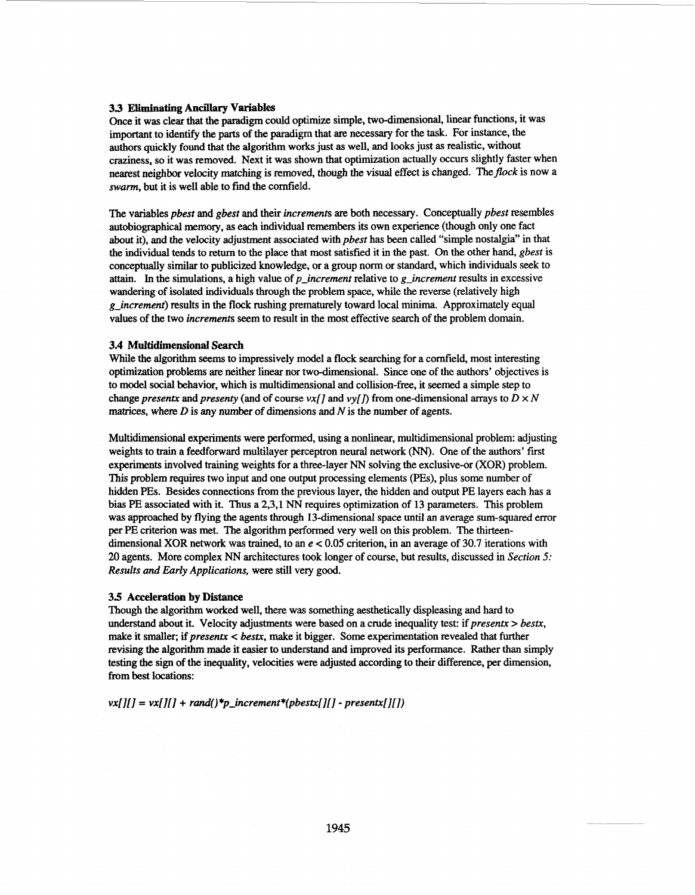#### **33 Eliminating Ancillary Variables**

Once it was clear that the paradigm could optimize simple, two-dimensional, linear functions, it was important to identify the parts of the paradigm that are necessary for the task. For instance, the authors quickly found that the algorithm works just as well, and looks just as realistic, without craziness, so it was removed. Next it was shown that optimization actually occurs slightly faster when nearest neighbor velocity matching is removed, though the visual effect is changed. The flock is now a *swarm*, but it is well able to find the cornfield.

The variables *pbest* and *gbest* and their *increments are* both necessary. Conceptually *pbest* resembles autobiographical memory, **as** each individual remembers its own experience (though only one fact about it), and the velocity adjustment associated with *pbest* has been called "simple nostalgia" in that the individual tends to return to the place that most satisfied it in the past. On the other hand, gbest is conceptually similar to publicized knowledge, or a group norm or standard, which individuals seek to attain. In the simulations, a high value of  $p\_increment$  relative to  $g\_increment$  results in excessive wandering of isolated individuals through the problem space, while the reverse (relatively high *g-increment)* results in the **flock** rushing prematurely toward local minima. Approximately *equal*  values of the two *increments* Seem to result in the most effective search of the problem domain.

#### **3.4** Multidimensional **Search**

While the algorithm seems to impressively model a flock searching for a cornfield, most interesting optimization problems are neither linear nor two-dimensional. Since one of the authors' objectives is to model social behavior, which is multidimensional and collision-free, it **seemed** a simple step to change *presentx* and *presenty* (and of course  $v x / J$  and  $v y / J$ ) from one-dimensional arrays to  $D \times N$ matrices, where *D* is any number of dimensions and *N* is the number of agents.

Multidimensional experiments were performed, using **a** nonlinear, multidimensional problem: adjusting weights to train a feedforward multilayer perceptron neural network (NN). One of the authors' first experiments involved training weights for a three-layer NN solving the exclusive-or (XOR) problem. This problem requires two input and one output processing elements **(PES),** plus some number of hidden PEs. Besides connections from the previous layer, the hidden and output PE layers each has a bias PE associated with it. Thus a **2,3,1 NN** requires optimization of 13 parameters. This problem was approached by flying **the** agents through 13-dimensional space until **an** average sum-squared error per PE criterion was met. The algorithm performed very well on this problem. The thirteendimensional XOR network **was** trained, to **am e** < 0.05 criterion, in an average of 30.7 iterations with 20 agents. More complex NN architectures took longer of course, but results, discussed in *Section 5: Results and Early Applications,* were still very good.

#### **3.5 Acceleration by Distance**

Though the algorithm worked well, there was something aesthetically displeasing and hard to understand about it. Velocity adjustments were based on a crude inequality test: *if presentx > bestx*, make it smaller; if *presentx < bestx*, make it bigger. Some experimentation revealed that further revising the algorithm made it easier to understand and improved its performance. Rather than simply testing the sign of the inequality, velocities were adjusted according to their difference, per dimension, **from** best locations:

 $vx[$ [ $] = vx[$ ][] + *rand*()\*p\_increment\*(pbestx[][] - presentx[][])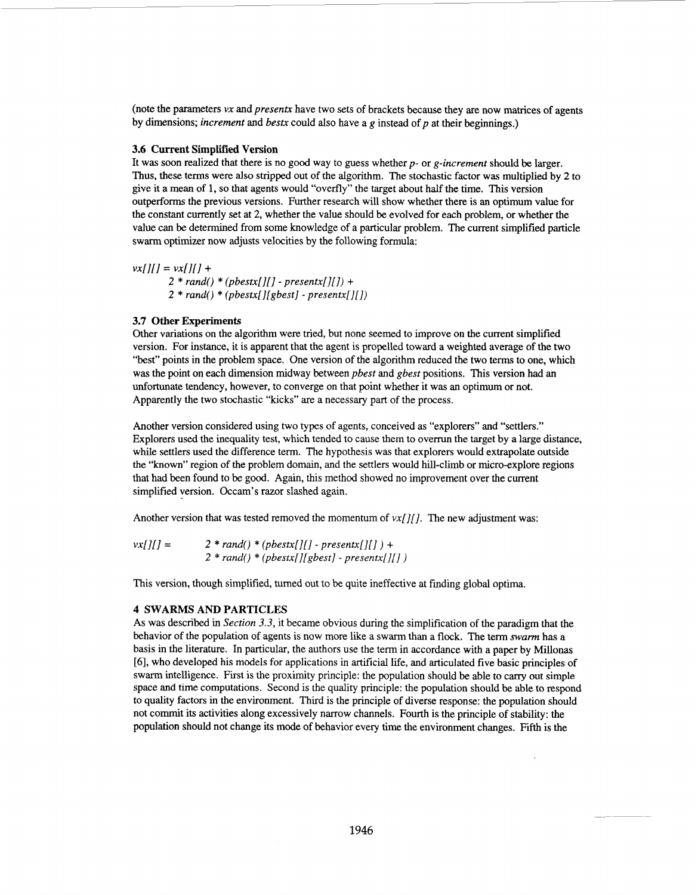(note the parameters *vx* and *presentx* have two sets of brackets because they are now matrices of agents by dimensions; *increment* and *bestx* could also have a *g* instead of *p* at their beginnings.)

#### **3.6 Current Simplified Version**

It was soon realized that there is no good way to guess whether *p-* or *g-increment* should be larger. Thus, these terms were also stripped out of the algorithm. The stochastic factor was multiplied **by 2** to give it a mean of 1, so that agents would "overfly" the target about half the time. This version outperforms the previous versions. Further research will show whether there is an optimum value for the constant currently set at 2, whether the value should be evolved for each problem, or whether the value can be determined from some knowledge of a particular problem. The current simplified particle swarm optimizer now adjusts velocities by the following formula:

 $vx[1] = vx[1] +$ *2* \* *rand()* \* *(pbestx[][]* - *presentx[]fl)* + *2* \* *rand()* \* *(pbestxfllgbesfl* - *presentxflf])* 

#### **3.7 Other Experiments**

Other variations on the algorithm were tried, but none seemed to improve on the current simplified version. For instance, it is apparent that the agent is propelled toward a weighted average of the two "best" points in the problem space. One version of the algorithm reduced the two terms to one, which was the point on each dimension midway between *pbest* and *gbest* positions. This version had an unfortunate tendency, however, to converge on that point whether it was an optimum or not. Apparently the two stochastic "kicks" are a necessary part of the process.

Another version considered using two **types** of agents, conceived **as** "explorers" and "settlers." Explorers used the inequality test, which tended to cause them to overrun the target **by** a large distance, while settlers used the difference term. The hypothesis was that explorers would extrapolate outside the "known" region of the problem domain, and the settlers would hill-climb or micro-explore regions that had been found to be good. Again, this method showed no improvement over the current simplified version. Occam's razor slashed again.

Another version that was tested removed the momentum of *vx[][].* The new adjustment was:

| $vx[1]$ = | $2 * rand() * (pbestx[][] - presentx[][] ) +$     |  |
|-----------|---------------------------------------------------|--|
|           | $2 * rand() * (pbestx[] {best} - presentx[] {} )$ |  |

This version, though simplified, tumed out to be quite ineffective at **finding** global optima.

## **4 SWARMS AND PARTICLES**

**As** was described in *Section* 3.3, it became obvious during the simplification of the paradigm that the behavior of the population of agents is now more like a swarm than a **flock.** The term *swarm* has a basis in the literature. **In** particular, the authors use the term in accordance with a paper by Millonas *[6],* who developed his models for applications in artificial life, and articulated five basic principles of swarm intelligence. First is the proximity principle: the population should be able to *carry* out simple space **and** time computations. Second is the quality principle: the population should be able to respond to quality factors in the environment. Third is the principle of diverse response: the population should not commit its activities along excessively narrow channels. Fourth is the principle of stability: the population should not change its mode of behavior every time the environment changes. Fifth is the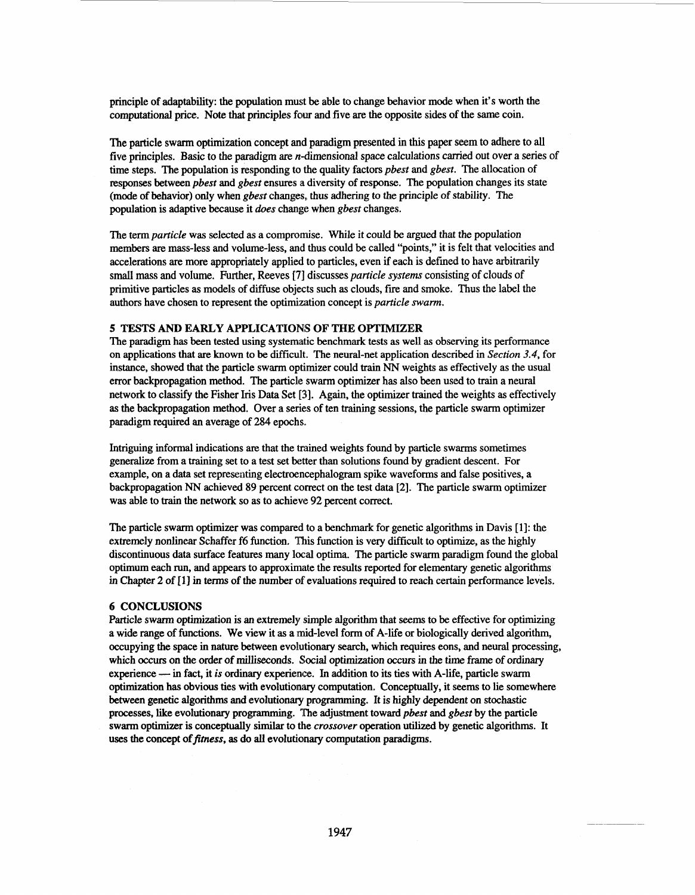principle of adaptability: the population must be able to change behavior mode when it's worth the computational price. **Note** that principles four and five are the opposite sides of the same coin.

The particle swarm optimization concept and paradigm presented in this paper seem to adhere to all five principles. Basic to the paradigm are n-dimensional space calculations carried out over a series of time steps. The population is responding to the quality factors *pbest* and *gbest.* The allocation of responses between *pbest* and *gbest* ensures a diversity of response. The population changes its state (mode of behavior) only when *gbest* changes, thus adhering to the principle of stability. The population is adaptive because it *does* change when *gbest* changes.

The term *particle* was selected **as** a compromise. While it could be argued that the population members are mass-less and volume-less, anid thus could be called "points," it is felt that velocities and accelerations are more appropriately applied to particles, even if each is defined to have arbitrarily small mass and volume. Further, Reeves [7] discusses particle systems consisting of clouds of primitive particles as models of diffuse objects such as clouds, fire and smoke. Thus the label the authors have chosen to represent the optimization concept is *particle swarm.* 

## **5 TESTS** *AND* **EARLY APPLICATIONS OF THE OPTIMIZER**

The paradigm has been tested using systemiatic benchmark tests as well **as** observing its performance on applications that are **known** to be difificult. The neural-net application described in *Section* 3.4, for instance, showed that the particle swarm optimizer could train NN weights **as** effectively as the usual error backpropagation method. The particle swarm optimizer has also been used to train a neural network to classify the Fisher Iris Data Set **1[3].** Again, the optimizer **trained** the weights **as** effectively **as** the backpropagation method. Over a series of ten training sessions, the particle swarm optimizer paradigm required **an** average of **284** epochs,,

Intriguing informal indications **are** that the Irihed weights found by particle swarms sometimes generalize from a training set to a test set better than solutions found by gradient descent. For example, on a data set representing electroencephalogram spike waveforms and false positives, a backpropagation NN achieved **89** percent correct on the test data **[2].** The particle swarm optimizer was able to train the network so as to achieve **92** percent correct.

The particle swarm optimizer was compared to a benchmark for genetic algorithms in Davis [1]: the extremely nonlinear Schaffer f6 function. This function is very difficult to optimize, **as** the highly discontinuous data surface features many local optima. The particle swarm paradigm found the global optimum each **run,** and appears to approximite the results reported for elementary genetic algorithms in Chapter **2** of [ **11** in terms of the number of evaluations required to reach certain performance levels.

# **6 CONCLUSIONS**

Particle swarm optimization is an extremely simple algorithm that seems to be effective for optimizing a wide range of functions. We view it as a mid-level form of A-life or biologically derived algorithm, occupying the space in nature between evollutionary search, which requires eons, and neural processing, which occurs on the order of milliseconds. Social optimization occurs in the time **frame** of ordinary occupying the space in nature between evolutionary search, which requires eons, and neural proce which occurs on the order of milliseconds. Social optimization occurs in the time frame of ordinary experience. In addition t optimization has obvious ties with evolutioiniuy computation. Conceptually, it **seems** to lie somewhere between genetic algorithms and evolutionary programming. It is highly dependent on stochastic processes, like evolutionary programming. The adjustment toward *pbest* and *gbest* by the particle swarm optimizer is conceptually similar to the *crossover* operation **utilized** by genetic algorithms. It uses the concept of *fitness*, as do all evolutionary computation paradigms.